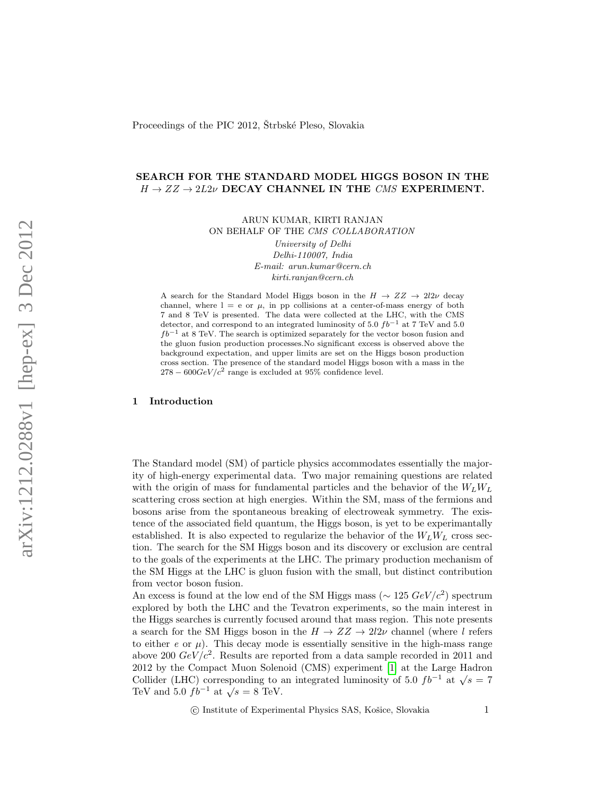# SEARCH FOR THE STANDARD MODEL HIGGS BOSON IN THE  $H \rightarrow ZZ \rightarrow 2L2\nu$  DECAY CHANNEL IN THE CMS EXPERIMENT.

ARUN KUMAR, KIRTI RANJAN ON BEHALF OF THE CMS COLLABORATION

> University of Delhi Delhi-110007, India E-mail: arun.kumar@cern.ch kirti.ranjan@cern.ch

A search for the Standard Model Higgs boson in the  $H \to ZZ \to 2l2\nu$  decay channel, where  $l = e$  or  $\mu$ , in pp collisions at a center-of-mass energy of both 7 and 8 TeV is presented. The data were collected at the LHC, with the CMS detector, and correspond to an integrated luminosity of 5.0  $fb^{-1}$  at 7 TeV and 5.0  $fb^{-1}$  at 8 TeV. The search is optimized separately for the vector boson fusion and the gluon fusion production processes.No significant excess is observed above the background expectation, and upper limits are set on the Higgs boson production cross section. The presence of the standard model Higgs boson with a mass in the  $278 - 600 GeV/c^2$  range is excluded at 95% confidence level.

## 1 Introduction

The Standard model (SM) of particle physics accommodates essentially the majority of high-energy experimental data. Two major remaining questions are related with the origin of mass for fundamental particles and the behavior of the  $W_L W_L$ scattering cross section at high energies. Within the SM, mass of the fermions and bosons arise from the spontaneous breaking of electroweak symmetry. The existence of the associated field quantum, the Higgs boson, is yet to be experimantally established. It is also expected to regularize the behavior of the  $W_L W_L$  cross section. The search for the SM Higgs boson and its discovery or exclusion are central to the goals of the experiments at the LHC. The primary production mechanism of the SM Higgs at the LHC is gluon fusion with the small, but distinct contribution from vector boson fusion.

An excess is found at the low end of the SM Higgs mass ( $\sim 125 \ GeV/c^2$ ) spectrum explored by both the LHC and the Tevatron experiments, so the main interest in the Higgs searches is currently focused around that mass region. This note presents a search for the SM Higgs boson in the  $H \to ZZ \to 2l2\nu$  channel (where l refers to either  $e$  or  $\mu$ ). This decay mode is essentially sensitive in the high-mass range above 200  $GeV/c^2$ . Results are reported from a data sample recorded in 2011 and 2012 by the Compact Muon Solenoid (CMS) experiment [\[1\]](#page-5-0) at the Large Hadron Collider (LHC) corresponding to an integrated luminosity of 5.0  $fb^{-1}$  at  $\sqrt{s} = 7$ Conder (ErrC) corresponding to a<br>TeV and 5.0  $fb^{-1}$  at  $\sqrt{s} = 8$  TeV.

(c) Institute of Experimental Physics SAS, Košice, Slovakia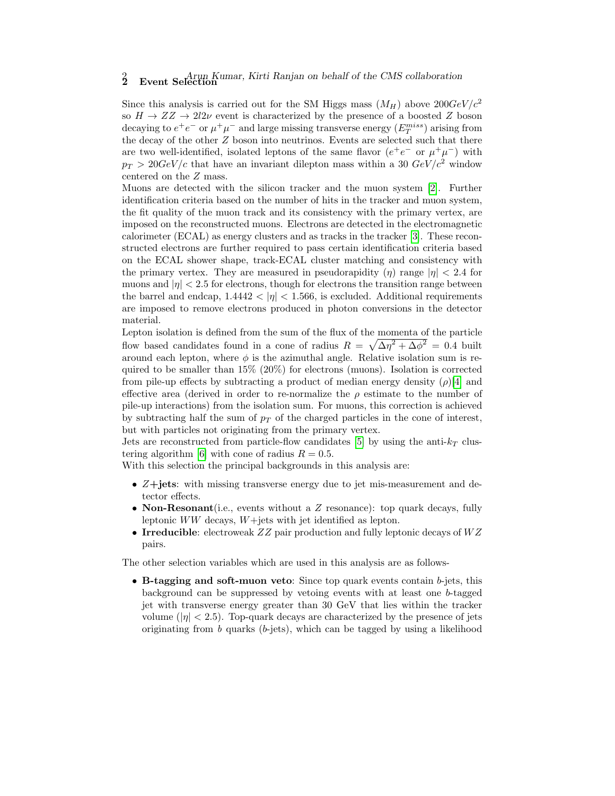# 2 Event Selection Kumar, Kirti Ranjan on behalf of the CMS collaboration

Since this analysis is carried out for the SM Higgs mass  $(M_H)$  above  $200 GeV/c^2$ so  $H \to ZZ \to 2l2\nu$  event is characterized by the presence of a boosted Z boson decaying to  $e^+e^-$  or  $\mu^+\mu^-$  and large missing transverse energy  $(E_T^{miss})$  arising from the decay of the other Z boson into neutrinos. Events are selected such that there are two well-identified, isolated leptons of the same flavor  $(e^+e^-$  or  $\mu^+\mu^-)$  with  $p_T > 20 GeV/c$  that have an invariant dilepton mass within a 30  $GeV/c^2$  window centered on the Z mass.

Muons are detected with the silicon tracker and the muon system [\[2\]](#page-5-1). Further identification criteria based on the number of hits in the tracker and muon system, the fit quality of the muon track and its consistency with the primary vertex, are imposed on the reconstructed muons. Electrons are detected in the electromagnetic calorimeter (ECAL) as energy clusters and as tracks in the tracker [\[3\]](#page-5-2). These reconstructed electrons are further required to pass certain identification criteria based on the ECAL shower shape, track-ECAL cluster matching and consistency with the primary vertex. They are measured in pseudorapidity  $(\eta)$  range  $|\eta| < 2.4$  for muons and  $|\eta| < 2.5$  for electrons, though for electrons the transition range between the barrel and endcap,  $1.4442 < |\eta| < 1.566$ , is excluded. Additional requirements are imposed to remove electrons produced in photon conversions in the detector material.

Lepton isolation is defined from the sum of the flux of the momenta of the particle flow based candidates found in a cone of radius  $R = \sqrt{\Delta \eta^2 + \Delta \phi^2} = 0.4$  built around each lepton, where  $\phi$  is the azimuthal angle. Relative isolation sum is required to be smaller than 15% (20%) for electrons (muons). Isolation is corrected from pile-up effects by subtracting a product of median energy density  $(\rho)$ [\[4\]](#page-5-3) and effective area (derived in order to re-normalize the  $\rho$  estimate to the number of pile-up interactions) from the isolation sum. For muons, this correction is achieved by subtracting half the sum of  $p<sub>T</sub>$  of the charged particles in the cone of interest, but with particles not originating from the primary vertex.

Jets are reconstructed from particle-flow candidates [\[5\]](#page-5-4) by using the anti- $k_T$  clus-tering algorithm [\[6\]](#page-5-5) with cone of radius  $R = 0.5$ .

With this selection the principal backgrounds in this analysis are:

- Z+jets: with missing transverse energy due to jet mis-measurement and detector effects.
- Non-Resonant (i.e., events without a  $Z$  resonance): top quark decays, fully leptonic  $WW$  decays,  $W+$ jets with jet identified as lepton.
- Irreducible: electroweak  $ZZ$  pair production and fully leptonic decays of  $WZ$ pairs.

The other selection variables which are used in this analysis are as follows-

• B-tagging and soft-muon veto: Since top quark events contain b-jets, this background can be suppressed by vetoing events with at least one b-tagged jet with transverse energy greater than 30 GeV that lies within the tracker volume  $(|\eta| < 2.5)$ . Top-quark decays are characterized by the presence of jets originating from  $b$  quarks ( $b$ -jets), which can be tagged by using a likelihood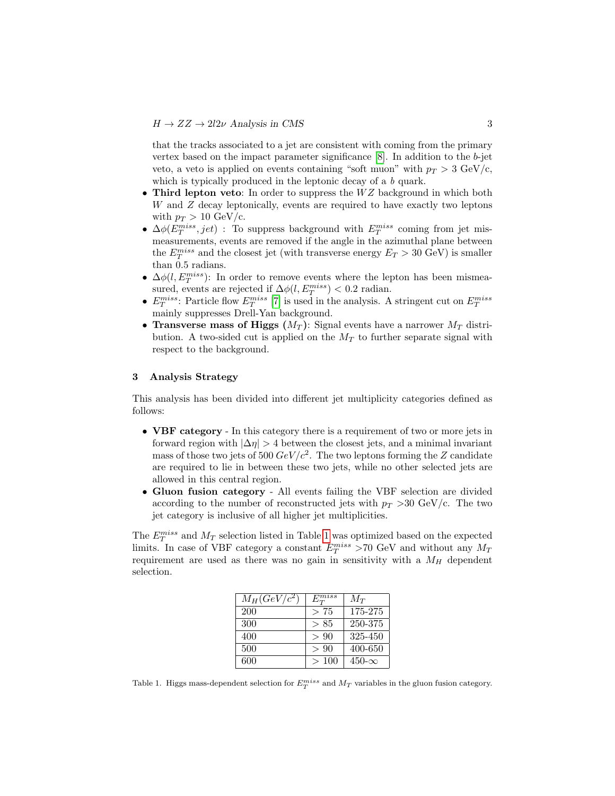that the tracks associated to a jet are consistent with coming from the primary vertex based on the impact parameter significance  $[8]$ . In addition to the b-jet veto, a veto is applied on events containing "soft muon" with  $p_T > 3$  GeV/c, which is typically produced in the leptonic decay of a b quark.

- Third lepton veto: In order to suppress the  $WZ$  background in which both W and Z decay leptonically, events are required to have exactly two leptons with  $p_T > 10 \text{ GeV/c}$ .
- $\Delta\phi(E_T^{miss}, jet)$ : To suppress background with  $E_T^{miss}$  coming from jet mismeasurements, events are removed if the angle in the azimuthal plane between the  $E_T^{miss}$  and the closest jet (with transverse energy  $E_T > 30 \text{ GeV}$ ) is smaller than 0.5 radians.
- $\Delta\phi(l,E_T^{miss})$ : In order to remove events where the lepton has been mismeasured, events are rejected if  $\Delta\phi(l,E_T^{miss}) < 0.2$  radian.
- $E_T^{miss}$ : Particle flow  $E_T^{miss}$  [\[7\]](#page-5-7) is used in the analysis. A stringent cut on  $E_T^{miss}$ mainly suppresses Drell-Yan background.
- Transverse mass of Higgs  $(M_T)$ : Signal events have a narrower  $M_T$  distribution. A two-sided cut is applied on the  $M_T$  to further separate signal with respect to the background.

# 3 Analysis Strategy

This analysis has been divided into different jet multiplicity categories defined as follows:

- VBF category In this category there is a requirement of two or more jets in forward region with  $|\Delta \eta| > 4$  between the closest jets, and a minimal invariant mass of those two jets of 500  $GeV/c^2$ . The two leptons forming the Z candidate are required to lie in between these two jets, while no other selected jets are allowed in this central region.
- Gluon fusion category All events failing the VBF selection are divided according to the number of reconstructed jets with  $p_T > 30$  GeV/c. The two jet category is inclusive of all higher jet multiplicities.

The  $E_T^{miss}$  and  $M_T$  selection listed in Table [1](#page-2-0) was optimized based on the expected limits. In case of VBF category a constant  $E_T^{miss} > 70$  GeV and without any  $M_T$ requirement are used as there was no gain in sensitivity with a  $M_H$  dependent selection.

| $M_H (GeV/c^2)$ | $E_T^{miss}$ | $M_T$          |
|-----------------|--------------|----------------|
| 200             | >75          | 175-275        |
| 300             | > 85         | 250-375        |
| 400             | > 90         | 325-450        |
| 500             | > 90         | 400-650        |
| 600             | >100         | $450 - \infty$ |

<span id="page-2-0"></span>Table 1. Higgs mass-dependent selection for  $E_T^{miss}$  and  $M_T$  variables in the gluon fusion category.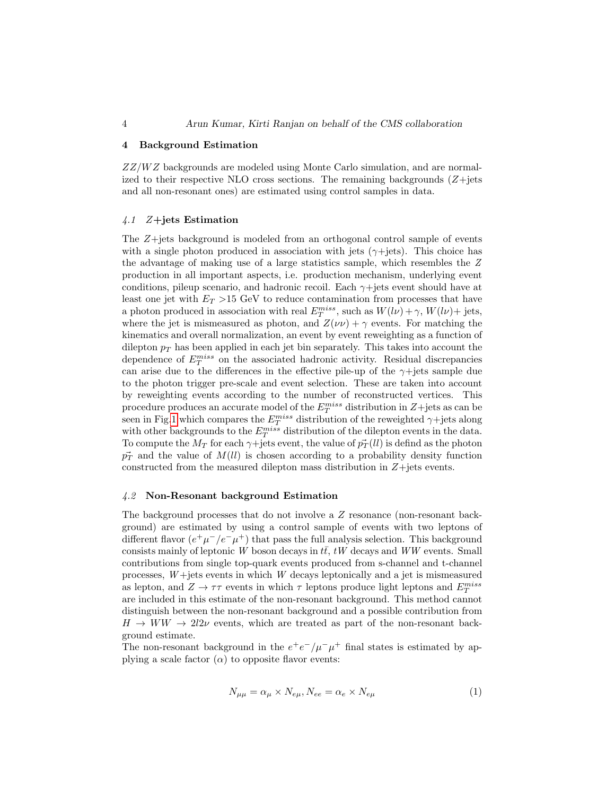#### 4 Background Estimation

 $ZZ/WZ$  backgrounds are modeled using Monte Carlo simulation, and are normalized to their respective NLO cross sections. The remaining backgrounds  $(Z+\text{jets})$ and all non-resonant ones) are estimated using control samples in data.

## 4.1 Z+jets Estimation

The Z+jets background is modeled from an orthogonal control sample of events with a single photon produced in association with jets ( $\gamma$ +jets). This choice has the advantage of making use of a large statistics sample, which resembles the Z production in all important aspects, i.e. production mechanism, underlying event conditions, pileup scenario, and hadronic recoil. Each  $\gamma$ +jets event should have at least one jet with  $E_T > 15$  GeV to reduce contamination from processes that have a photon produced in association with real  $E_T^{miss}$ , such as  $W(l\nu) + \gamma$ ,  $W(l\nu) +$  jets, where the jet is mismeasured as photon, and  $Z(\nu\nu) + \gamma$  events. For matching the kinematics and overall normalization, an event by event reweighting as a function of dilepton  $p_T$  has been applied in each jet bin separately. This takes into account the dependence of  $E_T^{miss}$  on the associated hadronic activity. Residual discrepancies can arise due to the differences in the effective pile-up of the  $\gamma$ +jets sample due to the photon trigger pre-scale and event selection. These are taken into account by reweighting events according to the number of reconstructed vertices. This procedure produces an accurate model of the  $E_T^{miss}$  distribution in  $Z+{\rm jets}$  as can be seen in Fig[.1](#page-4-0) which compares the  $E_T^{miss}$  distribution of the reweighted  $\gamma$ +jets along with other backgrounds to the  $E_T^{miss}$  distribution of the dilepton events in the data. To compute the  $M_T$  for each  $\gamma$ +jets event, the value of  $\vec{p}_T(ll)$  is defind as the photon  $\vec{p}_T$  and the value of  $M(\ell\ell)$  is chosen according to a probability density function constructed from the measured dilepton mass distribution in  $Z+$  jets events.

## 4.2 Non-Resonant background Estimation

The background processes that do not involve a Z resonance (non-resonant background) are estimated by using a control sample of events with two leptons of different flavor  $(e^+\mu^-/e^-\mu^+)$  that pass the full analysis selection. This background consists mainly of leptonic W boson decays in  $t\bar{t}$ , tW decays and WW events. Small contributions from single top-quark events produced from s-channel and t-channel processes,  $W +$ jets events in which  $W$  decays leptonically and a jet is mismeasured as lepton, and  $Z \to \tau\tau$  events in which  $\tau$  leptons produce light leptons and  $E_T^{miss}$ are included in this estimate of the non-resonant background. This method cannot distinguish between the non-resonant background and a possible contribution from  $H \to WW \to 2l2\nu$  events, which are treated as part of the non-resonant background estimate.

The non-resonant background in the  $e^+e^-/\mu^-\mu^+$  final states is estimated by applying a scale factor  $(\alpha)$  to opposite flavor events:

$$
N_{\mu\mu} = \alpha_{\mu} \times N_{e\mu}, N_{ee} = \alpha_e \times N_{e\mu}
$$
 (1)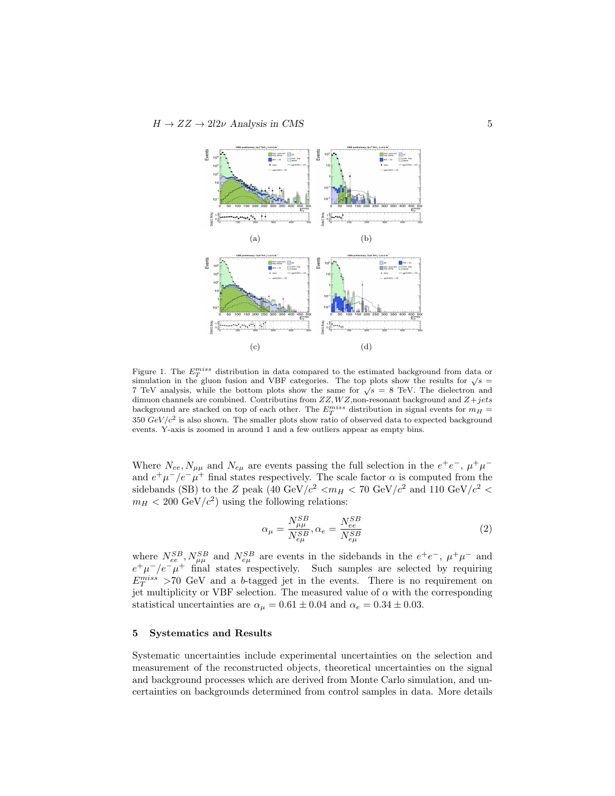

<span id="page-4-0"></span>Figure 1. The  $E_T^{miss}$  distribution in data compared to the estimated background from data or Figure 1. The  $E_T$  and usually distribution in the gluon fusion and VBF categories. The top plots show the results for  $\sqrt{s}$  = simulation in the gluon fusion and v<sub>DF</sub> categories. The top plots show the results for  $\sqrt{s}$  = 8 TeV. The dielectron and 7 TeV analysis, while the bottom plots show the same for  $\sqrt{s}$  = 8 TeV. The dielectron and dimuon channels are combined. Contributins from  $ZZ, WZ$ ,non-resonant background and  $Z+jets$ background are stacked on top of each other. The  $E_T^{miss}$  distribution in signal events for  $m_H =$ 350  $GeV/c^2$  is also shown. The smaller plots show ratio of observed data to expected background events. Y-axis is zoomed in around 1 and a few outliers appear as empty bins.

Where  $N_{ee}, N_{\mu\mu}$  and  $N_{e\mu}$  are events passing the full selection in the  $e^+e^-$ ,  $\mu^+\mu^$ and  $e^+\mu^-/e^-\mu^+$  final states respectively. The scale factor  $\alpha$  is computed from the sidebands (SB) to the Z peak (40 GeV/ $c^2$  < $m_H$  < 70 GeV/ $c^2$  and 110 GeV/ $c^2$  <  $m_H < 200 \text{ GeV}/c^2$  using the following relations:

$$
\alpha_{\mu} = \frac{N_{\mu\mu}^{SB}}{N_{e\mu}^{SB}}, \alpha_{e} = \frac{N_{ee}^{SB}}{N_{e\mu}^{SB}} \tag{2}
$$

where  $N_{ee}^{SB}$ ,  $N_{\mu\mu}^{SB}$  and  $N_{e\mu}^{SB}$  are events in the sidebands in the  $e^+e^-$ ,  $\mu^+\mu^-$  and  $e^+\mu^-/e^-\mu^+$  final states respectively. Such samples are selected by requiring  $E_T^{miss} > 70$  GeV and a b-tagged jet in the events. There is no requirement on jet multiplicity or VBF selection. The measured value of  $\alpha$  with the corresponding statistical uncertainties are  $\alpha_{\mu} = 0.61 \pm 0.04$  and  $\alpha_{e} = 0.34 \pm 0.03$ .

#### 5 Systematics and Results

Systematic uncertainties include experimental uncertainties on the selection and measurement of the reconstructed objects, theoretical uncertainties on the signal and background processes which are derived from Monte Carlo simulation, and uncertainties on backgrounds determined from control samples in data. More details